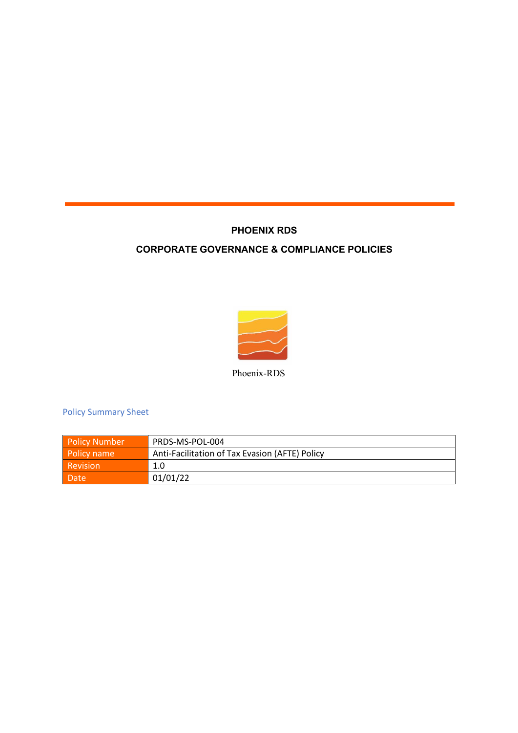## **PHOENIX RDS**

## **CORPORATE GOVERNANCE & COMPLIANCE POLICIES**



Phoenix-RDS

Policy Summary Sheet

| <b>Policy Number</b> | PRDS-MS-POL-004                                |
|----------------------|------------------------------------------------|
| Policy name          | Anti-Facilitation of Tax Evasion (AFTE) Policy |
| Revision             | 1.0                                            |
| Date                 | 01/01/22                                       |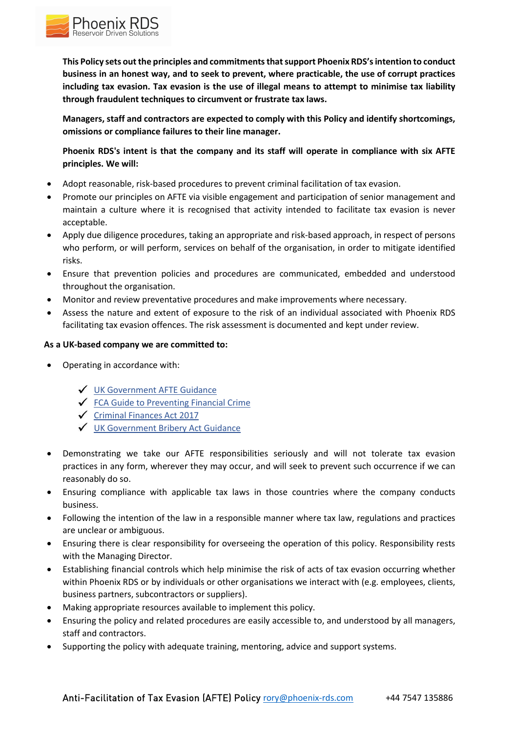

**This Policy sets out the principles and commitments that support Phoenix RDS's intention to conduct business in an honest way, and to seek to prevent, where practicable, the use of corrupt practices including tax evasion. Tax evasion is the use of illegal means to attempt to minimise tax liability through fraudulent techniques to circumvent or frustrate tax laws.**

**Managers, staff and contractors are expected to comply with this Policy and identify shortcomings, omissions or compliance failures to their line manager.**

**Phoenix RDS's intent is that the company and its staff will operate in compliance with six AFTE principles. We will:**

- Adopt reasonable, risk-based procedures to prevent criminal facilitation of tax evasion.
- Promote our principles on AFTE via visible engagement and participation of senior management and maintain a culture where it is recognised that activity intended to facilitate tax evasion is never acceptable.
- Apply due diligence procedures, taking an appropriate and risk-based approach, in respect of persons who perform, or will perform, services on behalf of the organisation, in order to mitigate identified risks.
- Ensure that prevention policies and procedures are communicated, embedded and understood throughout the organisation.
- Monitor and review preventative procedures and make improvements where necessary.
- Assess the nature and extent of exposure to the risk of an individual associated with Phoenix RDS facilitating tax evasion offences. The risk assessment is documented and kept under review.

## **As a UK-based company we are committed to:**

- Operating in accordance with:
	- UK Government AFTE Guidance
	- $\checkmark$  FCA Guide to Preventing Financial Crime
	- $\checkmark$  Criminal Finances Act 2017
	- UK Government Bribery Act Guidance
- Demonstrating we take our AFTE responsibilities seriously and will not tolerate tax evasion practices in any form, wherever they may occur, and will seek to prevent such occurrence if we can reasonably do so.
- Ensuring compliance with applicable tax laws in those countries where the company conducts business.
- Following the intention of the law in a responsible manner where tax law, regulations and practices are unclear or ambiguous.
- Ensuring there is clear responsibility for overseeing the operation of this policy. Responsibility rests with the Managing Director.
- Establishing financial controls which help minimise the risk of acts of tax evasion occurring whether within Phoenix RDS or by individuals or other organisations we interact with (e.g. employees, clients, business partners, subcontractors or suppliers).
- Making appropriate resources available to implement this policy.
- Ensuring the policy and related procedures are easily accessible to, and understood by all managers, staff and contractors.
- Supporting the policy with adequate training, mentoring, advice and support systems.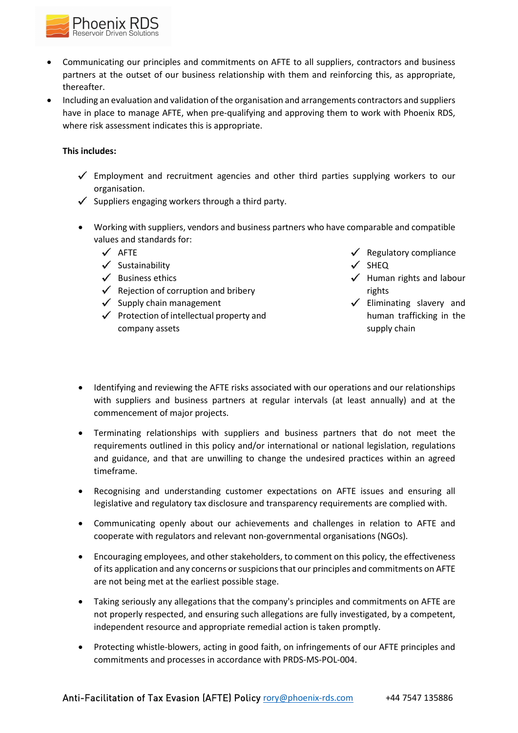

- Communicating our principles and commitments on AFTE to all suppliers, contractors and business partners at the outset of our business relationship with them and reinforcing this, as appropriate, thereafter.
- Including an evaluation and validation of the organisation and arrangements contractors and suppliers have in place to manage AFTE, when pre-qualifying and approving them to work with Phoenix RDS, where risk assessment indicates this is appropriate.

## **This includes:**

- $\checkmark$  Employment and recruitment agencies and other third parties supplying workers to our organisation.
- $\checkmark$  Suppliers engaging workers through a third party.
- Working with suppliers, vendors and business partners who have comparable and compatible values and standards for:
	- $\checkmark$  AFTE
	- $\checkmark$  Sustainability
	- $\checkmark$  Business ethics
	- $\checkmark$  Rejection of corruption and bribery
	- $\checkmark$  Supply chain management
	- $\checkmark$  Protection of intellectual property and company assets
- $\checkmark$  Regulatory compliance
- $\checkmark$  SHEQ
- $\checkmark$  Human rights and labour rights
- $\checkmark$  Eliminating slavery and human trafficking in the supply chain
- Identifying and reviewing the AFTE risks associated with our operations and our relationships with suppliers and business partners at regular intervals (at least annually) and at the commencement of major projects.
- Terminating relationships with suppliers and business partners that do not meet the requirements outlined in this policy and/or international or national legislation, regulations and guidance, and that are unwilling to change the undesired practices within an agreed timeframe.
- Recognising and understanding customer expectations on AFTE issues and ensuring all legislative and regulatory tax disclosure and transparency requirements are complied with.
- Communicating openly about our achievements and challenges in relation to AFTE and cooperate with regulators and relevant non-governmental organisations (NGOs).
- Encouraging employees, and other stakeholders, to comment on this policy, the effectiveness of its application and any concerns or suspicions that our principles and commitments on AFTE are not being met at the earliest possible stage.
- Taking seriously any allegations that the company's principles and commitments on AFTE are not properly respected, and ensuring such allegations are fully investigated, by a competent, independent resource and appropriate remedial action is taken promptly.
- Protecting whistle-blowers, acting in good faith, on infringements of our AFTE principles and commitments and processes in accordance with PRDS-MS-POL-004.